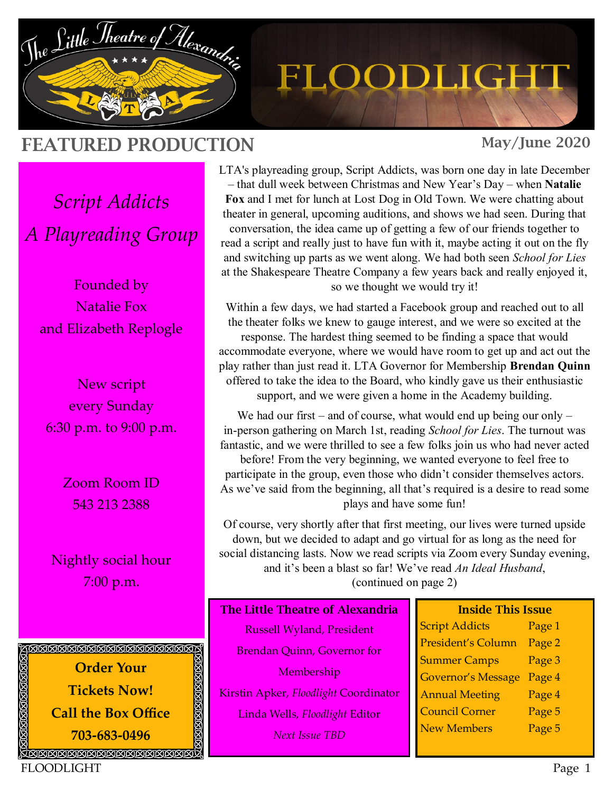

# FLOODLIGHT

## FEATURED PRODUCTION

May/June 2020

*Script Addicts A Playreading Group*

Founded by Natalie Fox and Elizabeth Replogle

New script every Sunday 6:30 p.m. to 9:00 p.m.

> Zoom Room ID 543 213 2388

Nightly social hour 7:00 p.m.



LTA's playreading group, Script Addicts, was born one day in late December – that dull week between Christmas and New Year's Day – when **Natalie Fox** and I met for lunch at Lost Dog in Old Town. We were chatting about theater in general, upcoming auditions, and shows we had seen. During that conversation, the idea came up of getting a few of our friends together to read a script and really just to have fun with it, maybe acting it out on the fly and switching up parts as we went along. We had both seen *School for Lies* at the Shakespeare Theatre Company a few years back and really enjoyed it, so we thought we would try it!

Within a few days, we had started a Facebook group and reached out to all the theater folks we knew to gauge interest, and we were so excited at the response. The hardest thing seemed to be finding a space that would accommodate everyone, where we would have room to get up and act out the play rather than just read it. LTA Governor for Membership **Brendan Quinn** offered to take the idea to the Board, who kindly gave us their enthusiastic support, and we were given a home in the Academy building.

We had our first – and of course, what would end up being our only – in-person gathering on March 1st, reading *School for Lies*. The turnout was fantastic, and we were thrilled to see a few folks join us who had never acted before! From the very beginning, we wanted everyone to feel free to participate in the group, even those who didn't consider themselves actors. As we've said from the beginning, all that's required is a desire to read some plays and have some fun!

Of course, very shortly after that first meeting, our lives were turned upside down, but we decided to adapt and go virtual for as long as the need for social distancing lasts. Now we read scripts via Zoom every Sunday evening, and it's been a blast so far! We've read *An Ideal Husband*, (continued on page 2)

#### The Little Theatre of Alexandria

Russell Wyland, President Brendan Quinn, Governor for **Membership** Kirstin Apker, *Floodlight* Coordinator Linda Wells, *Floodlight* Editor *Next Issue TBD*

#### Inside This Issue

Script Addicts Page 1 President's Column Page 2 Summer Camps Page 3 Governor's Message Page 4 Annual Meeting Page 4 Council Corner Page 5 New Members Page 5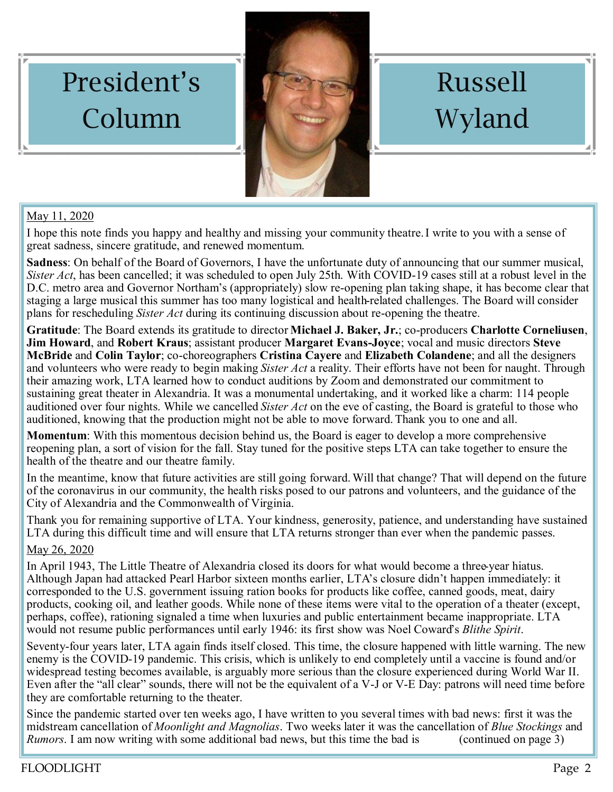

# Russell Wyland

## May 11, 2020

President's

Column

I hope this note finds you happy and healthy and missing your community theatre.I write to you with a sense of great sadness, sincere gratitude, and renewed momentum.

**Sadness**: On behalf of the Board of Governors, I have the unfortunate duty of announcing that our summer musical, *Sister Act*, has been cancelled; it was scheduled to open July 25th. With COVID-19 cases still at a robust level in the D.C. metro area and Governor Northam's (appropriately) slow re-opening plan taking shape, it has become clear that staging a large musical this summer has too many logistical and health-related challenges. The Board will consider plans for rescheduling *Sister Act* during its continuing discussion about re-opening the theatre.

**Gratitude**: The Board extends its gratitude to director **Michael J. Baker, Jr.**; co-producers **Charlotte Corneliusen**, **Jim Howard**, and **Robert Kraus**; assistant producer **Margaret Evans-Joyce**; vocal and music directors **Steve McBride** and **Colin Taylor**; co-choreographers **Cristina Cayere** and **Elizabeth Colandene**; and all the designers and volunteers who were ready to begin making *Sister Act* a reality. Their efforts have not been for naught. Through their amazing work, LTA learned how to conduct auditions by Zoom and demonstrated our commitment to sustaining great theater in Alexandria. It was a monumental undertaking, and it worked like a charm: 114 people auditioned over four nights. While we cancelled *Sister Act* on the eve of casting, the Board is grateful to those who auditioned, knowing that the production might not be able to move forward. Thank you to one and all.

**Momentum**: With this momentous decision behind us, the Board is eager to develop a more comprehensive reopening plan, a sort of vision for the fall. Stay tuned for the positive steps LTA can take together to ensure the health of the theatre and our theatre family.

In the meantime, know that future activities are still going forward. Will that change? That will depend on the future of the coronavirus in our community, the health risks posed to our patrons and volunteers, and the guidance of the City of Alexandria and the Commonwealth of Virginia.

Thank you for remaining supportive of LTA. Your kindness, generosity, patience, and understanding have sustained LTA during this difficult time and will ensure that LTA returns stronger than ever when the pandemic passes.

### May 26, 2020

In April 1943, The Little Theatre of Alexandria closed its doors for what would become a three-year hiatus. Although Japan had attacked Pearl Harbor sixteen months earlier, LTA's closure didn't happen immediately: it corresponded to the U.S. government issuing ration books for products like coffee, canned goods, meat, dairy products, cooking oil, and leather goods. While none of these items were vital to the operation of a theater (except, perhaps, coffee), rationing signaled a time when luxuries and public entertainment became inappropriate. LTA would not resume public performances until early 1946: its first show was Noel Coward's *Blithe Spirit*.

Seventy-four years later, LTA again finds itself closed. This time, the closure happened with little warning. The new enemy is the COVID-19 pandemic. This crisis, which is unlikely to end completely until a vaccine is found and/or widespread testing becomes available, is arguably more serious than the closure experienced during World War II. Even after the "all clear" sounds, there will not be the equivalent of a V-J or V-E Day: patrons will need time before they are comfortable returning to the theater.

Since the pandemic started over ten weeks ago, I have written to you several times with bad news: first it was the midstream cancellation of *Moonlight and Magnolias*. Two weeks later it was the cancellation of *Blue Stockings* and *Rumors*. I am now writing with some additional bad news, but this time the bad is (continued on page 3)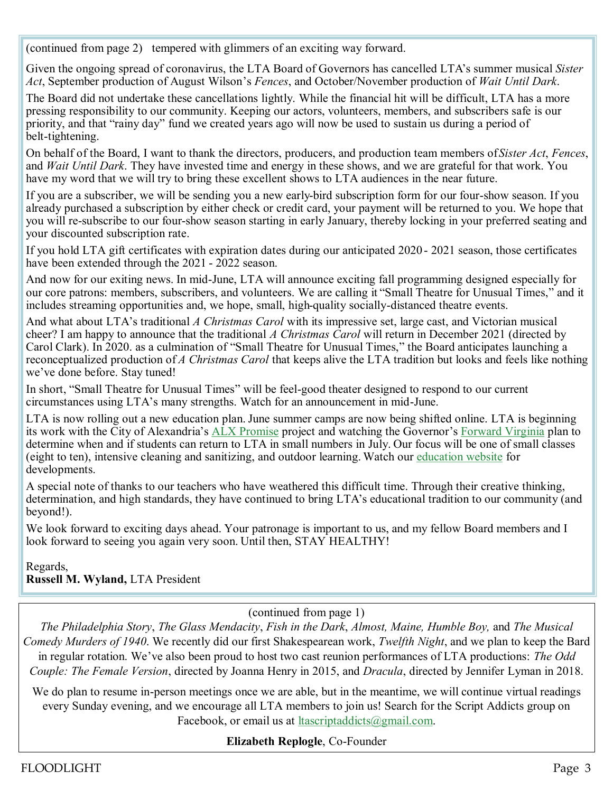(continued from page 2) tempered with glimmers of an exciting way forward.

Given the ongoing spread of coronavirus, the LTA Board of Governors has cancelled LTA's summer musical *Sister Act*, September production of August Wilson's *Fences*, and October/November production of *Wait Until Dark*.

The Board did not undertake these cancellations lightly. While the financial hit will be difficult, LTA has a more pressing responsibility to our community. Keeping our actors, volunteers, members, and subscribers safe is our priority, and that "rainy day" fund we created years ago will now be used to sustain us during a period of belt-tightening.

On behalf of the Board, I want to thank the directors, producers, and production team members of *Sister Act*, *Fences*, and *Wait Until Dark*. They have invested time and energy in these shows, and we are grateful for that work. You have my word that we will try to bring these excellent shows to LTA audiences in the near future.

If you are a subscriber, we will be sending you a new early-bird subscription form for our four-show season. If you already purchased a subscription by either check or credit card, your payment will be returned to you. We hope that you will re-subscribe to our four-show season starting in early January, thereby locking in your preferred seating and your discounted subscription rate.

If you hold LTA gift certificates with expiration dates during our anticipated 2020 - 2021 season, those certificates have been extended through the 2021 - 2022 season.

And now for our exiting news. In mid-June, LTA will announce exciting fall programming designed especially for our core patrons: members, subscribers, and volunteers. We are calling it "Small Theatre for Unusual Times," and it includes streaming opportunities and, we hope, small, high-quality socially-distanced theatre events.

And what about LTA's traditional *A Christmas Carol* with its impressive set, large cast, and Victorian musical cheer? I am happy to announce that the traditional *A Christmas Carol* will return in December 2021 (directed by Carol Clark). In 2020. as a culmination of "Small Theatre for Unusual Times," the Board anticipates launching a reconceptualized production of *A Christmas Carol* that keeps alive the LTA tradition but looks and feels like nothing we've done before. Stay tuned!

In short, "Small Theatre for Unusual Times" will be feel-good theater designed to respond to our current circumstances using LTA's many strengths. Watch for an announcement in mid-June.

LTA is now rolling out a new education plan. June summer camps are now being shifted online. LTA is beginning its work with the City of Alexandria's [ALX Promise](https://eur06.safelinks.protection.outlook.com/?url=https%3A%2F%2Fclick.icptrack.com%2Ficp%2Frelay.php%3Fr%3D5110598%26msgid%3D189236%26act%3DPHY2%26c%3D1505253%26destination%3Dhttps%253A%252F%252Fwww.alexandriava.gov%252Fhealth%252Finfo%252Fdefault.aspx%253F) project and watching the Governor's [Forward Virginia](https://eur06.safelinks.protection.outlook.com/?url=https%3A%2F%2Fclick.icptrack.com%2Ficp%2Frelay.php%3Fr%3D5110598%26msgid%3D189236%26act%3DPHY2%26c%3D1505253%26destination%3Dhttps%253A%252F%252Fwww.virginia.gov%252Fcoronavirus%252Fforwardvirginia%252F%26cf) plan to determine when and if students can return to LTA in small numbers in July. Our focus will be one of small classes (eight to ten), intensive cleaning and sanitizing, and outdoor learning. Watch our [education website](https://eur06.safelinks.protection.outlook.com/?url=https%3A%2F%2Fclick.icptrack.com%2Ficp%2Frelay.php%3Fr%3D5110598%26msgid%3D189236%26act%3DPHY2%26c%3D1505253%26destination%3Dhttp%253A%252F%252Fthelittletheatre.com%252Feducation%252F%26cf%3D4946%26v%3D3126c) for developments.

A special note of thanks to our teachers who have weathered this difficult time. Through their creative thinking, determination, and high standards, they have continued to bring LTA's educational tradition to our community (and beyond!).

We look forward to exciting days ahead. Your patronage is important to us, and my fellow Board members and I look forward to seeing you again very soon. Until then, STAY HEALTHY!

Regards, **Russell M. Wyland,** LTA President

(continued from page 1)

*The Philadelphia Story*, *The Glass Mendacity*, *Fish in the Dark*, *Almost, Maine, Humble Boy,* and *The Musical Comedy Murders of 1940*. We recently did our first Shakespearean work, *Twelfth Night*, and we plan to keep the Bard in regular rotation. We've also been proud to host two cast reunion performances of LTA productions: *The Odd Couple: The Female Version*, directed by Joanna Henry in 2015, and *Dracula*, directed by Jennifer Lyman in 2018.

We do plan to resume in-person meetings once we are able, but in the meantime, we will continue virtual readings every Sunday evening, and we encourage all LTA members to join us! Search for the Script Addicts group on Facebook, or email us at ltascriptaddicts@gmail.com.

**Elizabeth Replogle**, Co-Founder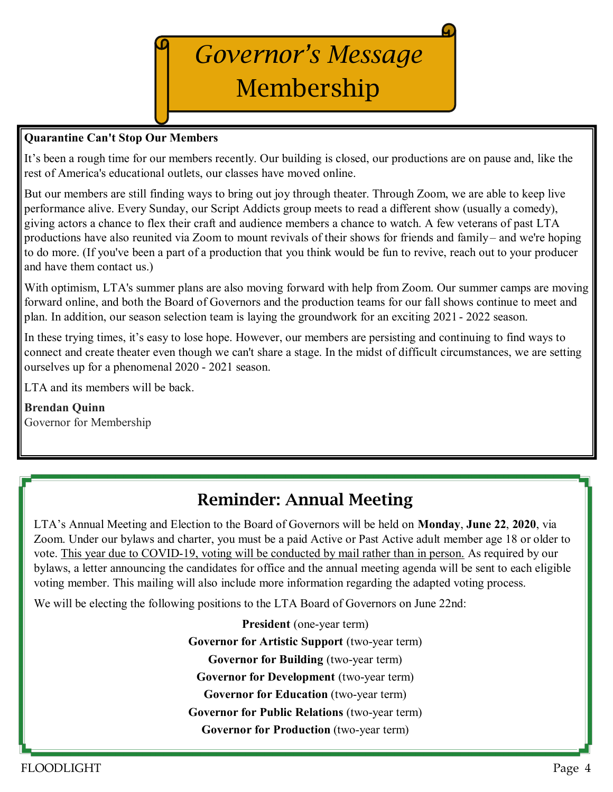# *Governor's Message*  Membership

#### **Quarantine Can't Stop Our Members**

It's been a rough time for our members recently. Our building is closed, our productions are on pause and, like the rest of America's educational outlets, our classes have moved online.

But our members are still finding ways to bring out joy through theater. Through Zoom, we are able to keep live performance alive. Every Sunday, our Script Addicts group meets to read a different show (usually a comedy), giving actors a chance to flex their craft and audience members a chance to watch. A few veterans of past LTA productions have also reunited via Zoom to mount revivals of their shows for friends and family – and we're hoping to do more. (If you've been a part of a production that you think would be fun to revive, reach out to your producer and have them contact us.)

With optimism, LTA's summer plans are also moving forward with help from Zoom. Our summer camps are moving forward online, and both the Board of Governors and the production teams for our fall shows continue to meet and plan. In addition, our season selection team is laying the groundwork for an exciting 2021 - 2022 season.

In these trying times, it's easy to lose hope. However, our members are persisting and continuing to find ways to connect and create theater even though we can't share a stage. In the midst of difficult circumstances, we are setting ourselves up for a phenomenal 2020 - 2021 season.

LTA and its members will be back.

**Brendan Quinn**  Governor for Membership

## Reminder: Annual Meeting

LTA's Annual Meeting and Election to the Board of Governors will be held on **Monday**, **June 22**, **2020**, via Zoom. Under our bylaws and charter, you must be a paid Active or Past Active adult member age 18 or older to vote. This year due to COVID-19, voting will be conducted by mail rather than in person. As required by our bylaws, a letter announcing the candidates for office and the annual meeting agenda will be sent to each eligible voting member. This mailing will also include more information regarding the adapted voting process.

We will be electing the following positions to the LTA Board of Governors on June 22nd:

**President** (one-year term) **Governor for Artistic Support** (two-year term) **Governor for Building** (two-year term) **Governor for Development** (two-year term) **Governor for Education** (two-year term) **Governor for Public Relations** (two-year term) **Governor for Production** (two-year term)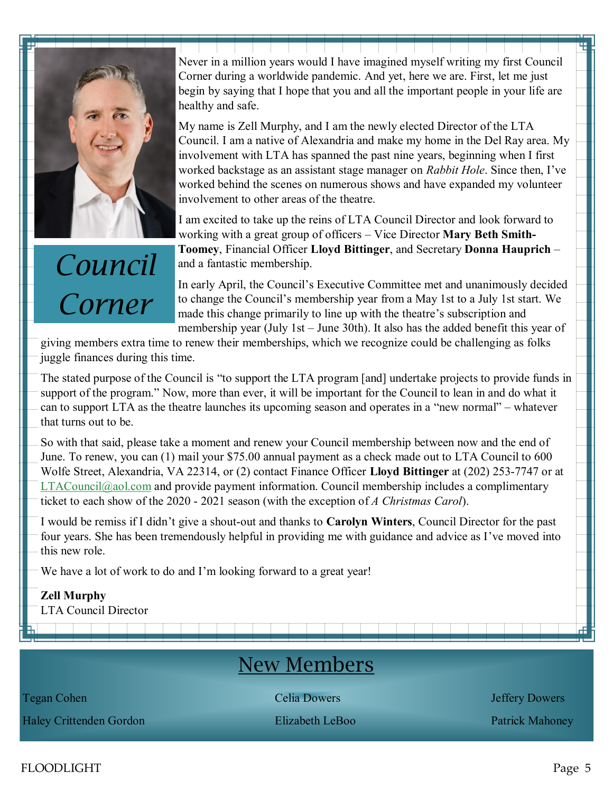

## *Council Corner*

Never in a million years would I have imagined myself writing my first Council Corner during a worldwide pandemic. And yet, here we are. First, let me just begin by saying that I hope that you and all the important people in your life are healthy and safe.

My name is Zell Murphy, and I am the newly elected Director of the LTA Council. I am a native of Alexandria and make my home in the Del Ray area. My involvement with LTA has spanned the past nine years, beginning when I first worked backstage as an assistant stage manager on *Rabbit Hole*. Since then, I've worked behind the scenes on numerous shows and have expanded my volunteer involvement to other areas of the theatre.

I am excited to take up the reins of LTA Council Director and look forward to working with a great group of officers – Vice Director **Mary Beth Smith-Toomey**, Financial Officer **Lloyd Bittinger**, and Secretary **Donna Hauprich** – and a fantastic membership.

In early April, the Council's Executive Committee met and unanimously decided to change the Council's membership year from a May 1st to a July 1st start. We made this change primarily to line up with the theatre's subscription and membership year (July 1st – June 30th). It also has the added benefit this year of

giving members extra time to renew their memberships, which we recognize could be challenging as folks juggle finances during this time.

The stated purpose of the Council is "to support the LTA program [and] undertake projects to provide funds in support of the program." Now, more than ever, it will be important for the Council to lean in and do what it can to support LTA as the theatre launches its upcoming season and operates in a "new normal" – whatever that turns out to be.

So with that said, please take a moment and renew your Council membership between now and the end of June. To renew, you can (1) mail your \$75.00 annual payment as a check made out to LTA Council to 600 Wolfe Street, Alexandria, VA 22314, or (2) contact Finance Officer **Lloyd Bittinger** at (202) 253-7747 or at  $LTAC$ ouncil $@$ aol.com and provide payment information. Council membership includes a complimentary ticket to each show of the 2020 - 2021 season (with the exception of *A Christmas Carol*).

I would be remiss if I didn't give a shout-out and thanks to **Carolyn Winters**, Council Director for the past four years. She has been tremendously helpful in providing me with guidance and advice as I've moved into this new role.

We have a lot of work to do and I'm looking forward to a great year!

**Zell Murphy**  LTA Council Director

## New Members

Haley Crittenden Gordon Elizabeth LeBoo Patrick Mahoney

**Tegan Cohen** Celia Dowers **Celia Dowers** *Celia Dowers Jeffery Dowers* 

FLOODLIGHT Page 5